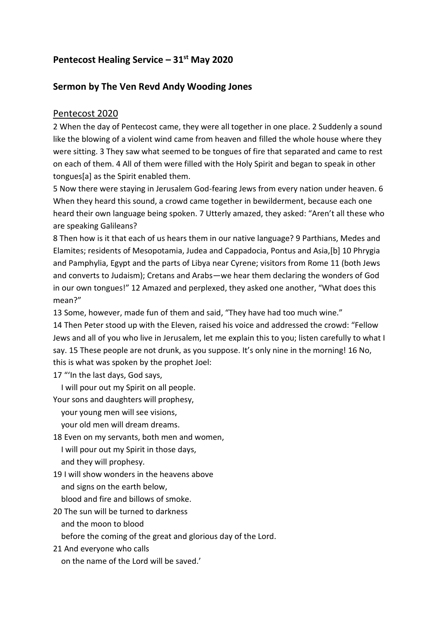# **Pentecost Healing Service – 31st May 2020**

## **Sermon by The Ven Revd Andy Wooding Jones**

## Pentecost 2020

2 When the day of Pentecost came, they were all together in one place. 2 Suddenly a sound like the blowing of a violent wind came from heaven and filled the whole house where they were sitting. 3 They saw what seemed to be tongues of fire that separated and came to rest on each of them. 4 All of them were filled with the Holy Spirit and began to speak in other tongues[a] as the Spirit enabled them.

5 Now there were staying in Jerusalem God-fearing Jews from every nation under heaven. 6 When they heard this sound, a crowd came together in bewilderment, because each one heard their own language being spoken. 7 Utterly amazed, they asked: "Aren't all these who are speaking Galileans?

8 Then how is it that each of us hears them in our native language? 9 Parthians, Medes and Elamites; residents of Mesopotamia, Judea and Cappadocia, Pontus and Asia,[b] 10 Phrygia and Pamphylia, Egypt and the parts of Libya near Cyrene; visitors from Rome 11 (both Jews and converts to Judaism); Cretans and Arabs—we hear them declaring the wonders of God in our own tongues!" 12 Amazed and perplexed, they asked one another, "What does this mean?"

13 Some, however, made fun of them and said, "They have had too much wine."

14 Then Peter stood up with the Eleven, raised his voice and addressed the crowd: "Fellow Jews and all of you who live in Jerusalem, let me explain this to you; listen carefully to what I say. 15 These people are not drunk, as you suppose. It's only nine in the morning! 16 No, this is what was spoken by the prophet Joel:

17 "'In the last days, God says,

I will pour out my Spirit on all people.

Your sons and daughters will prophesy,

your young men will see visions,

your old men will dream dreams.

18 Even on my servants, both men and women,

I will pour out my Spirit in those days,

and they will prophesy.

19 I will show wonders in the heavens above

and signs on the earth below,

blood and fire and billows of smoke.

20 The sun will be turned to darkness

and the moon to blood

before the coming of the great and glorious day of the Lord.

21 And everyone who calls

on the name of the Lord will be saved.'